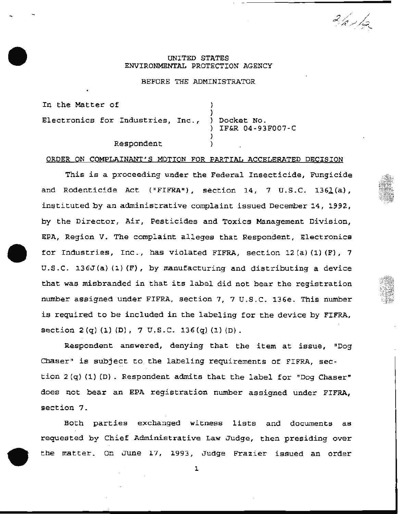## UNITED STATES ENVIRONMENTAL PROTECTION AGENCY

 $2/2/4$ 

### BEFORE THE ADMINISTRATOR

In the Matter of Electronics for Industries, Inc., ) Docket No. IF&R 04-93F007-C Respondent

### ORDER ON COMPLAINANT'S MOTION FOR PARTIAL ACCELERATED DECISION

This is a proceeding under the Federal Insecticide, Fungicide and Rodenticide Act ("FIFRA"), section 14, 7 U.S.C. 1361(a), instituted by an administrative complaint issued December 14, 1992, by the Director, Air, Pesticides and Toxics Management Division, EPA, Region V. The complaint alleges that Respondent, Electronics for Industries, Inc., has violated FIFRA, section 12(a) (1) (F), 7 U.S.C. 136J(a)(1)(F), by manufacturing and distributing a device that was misbranded in that its label did not bear the registration number assigned under FIFRA, section 7, 7 u.s.c. 136e. This number is required to be included in the labeling for the device by FIFRA, section  $2(q)$  (1) (D),  $7 \text{ U.S.C. } 136(q)$  (1) (D).

Respondent answered, denying that the item at issue, "Dog Chaser" is subject to the labeling requirements of FIFRA, section 2 (q) (1) (D) . Respondent admits that the label for "Dog Chaser" does not bear an EPA registration number assigned under FIFRA, section 7.

Both parties exchanged witness lists and documents as requested by Chief Administrative Law Judge, then presiding over the matter. On June 17, 1993, Judge Frazier issued an order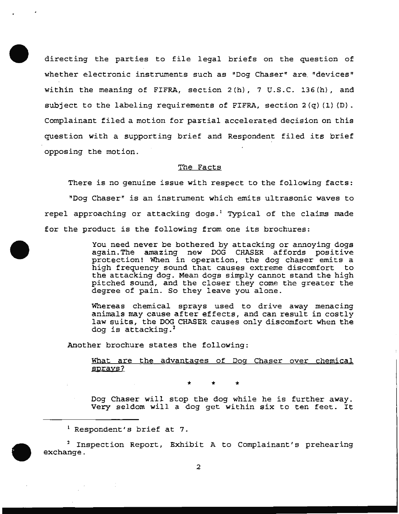directing the parties to file legal briefs on the question of whether electronic instruments such as "Dog Chaser" are. "devices" within the meaning of FIFRA, section 2(h), 7 U.S.C. 136(h), and subject to the labeling requirements of FIFRA, section  $2(q)(1)(D)$ . Complainant filed a motion for partial accelerated decision on this question with a supporting brief and Respondent filed its brief opposing the motion.

### The Facts

There is no genuine issue with respect to the following facts: "Dog Chaser" is an instrument which emits ultrasonic waves to repel approaching or attacking dogs.<sup>1</sup> Typical of the claims made for the product is the following from one its brochures:

> You need never be bothered by attacking or annoying dogs again.The amazing new DOG CHASER affords positive protection! When in operation, the dog chaser emits a high frequency sound that causes extreme discomfort to the attacking dog. Mean dogs simply cannot stand the high pitched sound, and the closer they come the greater the degree of pain. So they leave you alone.

> Whereas chemical sprays used to drive away menacing animals may cause after effects, and can result in costly law suits, the DOG CHASER causes only discomfort when the dog is attacking.<sup>2</sup>

Another brochure states the following:

What are the advantages of Dog Chaser over chemical sprays?

\* \* \*

Dog Chaser will stop the dog while he is further away. Very seldom will a dog get within six to ten feet. It

<sup>&</sup>lt;sup>1</sup> Respondent's brief at 7.

<sup>2</sup> Inspection Report, Exhibit A to Complainant's prehearing exchange .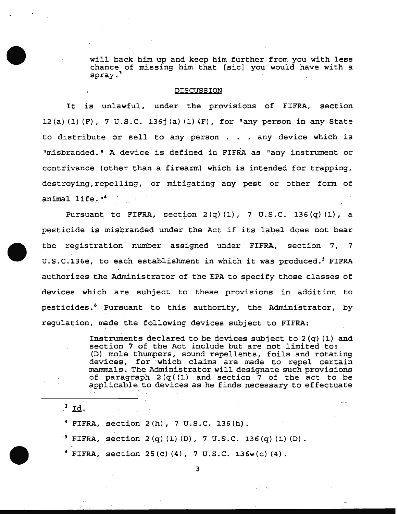will back him up and keep him further from you with less chance of missing him that [sic] you would have with a spray. <sup>3</sup>

#### DISCUSSION

It is unlawful, under the provisions of FIFRA, section 12(a) (1) (F), 7 U.S.C. 136 $\dot{ }$  (a) (1) (F), for "any person in any State to distribute or sell to any person . . any device which is "misbranded." A device is defined in FIFRA as "any instrument or contrivance (other than a firearm) which is intended for trapping, destroying, repelling, or mitigating any pest or other form of animal life."<sup>4</sup>

Pursuant to FIFRA, section 2 (q) (1), 7 U.S.C. 136 (q) (1), a pesticide is misbranded under the Act if its label does not bear the registration number assigned under FIFRA, section 7, 7 U.S.C.136e, to each establishment in which it was produced.<sup>5</sup> FIFRA authorizes the Administrator of the EPA to specify those classes of devices which are subject to these provisions in addition to pesticides.<sup>6</sup> Pursuant to this authority, the Administrator, by regulation, made the following devices subject to FIFRA:

> Instruments declared to be devices subject to  $2(q)(1)$  and section 7 of the Act include but are not limited to: (D) mole thumpers, sound repellents, foils and rotating devices, for which claims are made to repel certain mammals. The Administrator will designate such provisions of paragraph  $2(q(1)$  and section  $7$  of the act to be applicable to devices as he finds necessary to effectuate

 $3$  Id.

4 FIFRA, section 2(h), 7 U.S.C. 136(h).

*<sup>5</sup>*FIFRA, section 2 (q) (1) (D), 7 U.S.C. 136 (q) (1) (D).

 $6$  FIFRA, section 25(c)(4), 7 U.S.C. 136w(c)(4).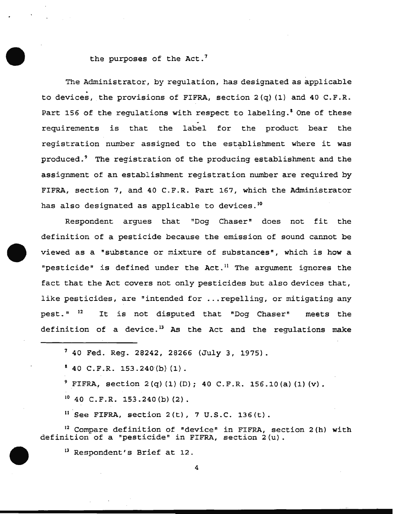# the purposes of the Act.<sup>7</sup>

The Administrator, by regulation, has designated as applicable to devices, the provisions of FIFRA, section  $2(q)$  (1) and 40 C.F.R. Part 156 of the regulations with respect to labeling.' One of these requirements is that the label for the product bear the registration number assigned to the establishment where it was produced.<sup>9</sup> The registration of the producing establishment and the assignment of an establishment registration number are required by FIFRA, section 7, and 40 C.F.R. Part 167, which the Administrator has also designated as applicable to devices.<sup>10</sup>

Respondent argues that "Dog Chaser" does not fit the definition of a pesticide because the emission of sound cannot be viewed as a "substance or mixture of substances", which is how a "pesticide" is defined under the Act.<sup>11</sup> The argument ignores the fact that the Act covers not only pesticides but also devices that, like pesticides, are "intended for ... repelling, or mitigating any pest." 12 It is not disputed that "Dog Chaser" meets the definition of a device.<sup>13</sup> As the Act and the regulations make

 $10$  40 C.F.R. 153.240(b)(2).

 $11$  See FIFRA, section 2(t), 7 U.S.C. 136(t).

12 Compare definition of "device" in FIFRA, section 2(h) with definition of a "pesticide" in FIFRA, section 2(u).

<sup>13</sup> Respondent's Brief at 12.

<sup>7 40</sup> Fed. Reg. 28242, 28266 (July 3, 1975).

 $1^8$  40 C.F.R. 153.240(b)(1).

 $9$  FIFRA, section 2(q)(1)(D); 40 C.F.R. 156.10(a)(1)(v).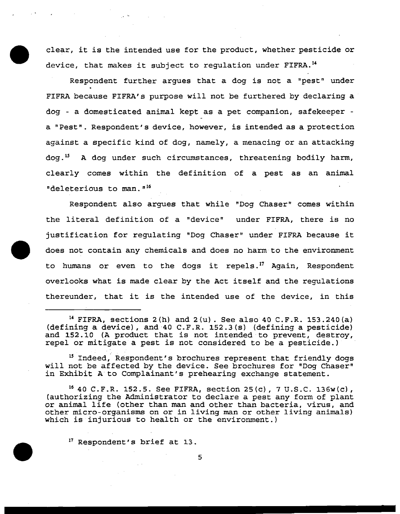clear, it is the intended use for the product, whether pesticide or device, that makes it subject to regulation under FIFRA.<sup>14</sup>

Respondent further argues that a dog is not a "pest" under FIFRA because FIFRA's purpose will not be furthered by declaring a dog - a domesticated animal kept as a pet companion, safekeeper a "Pest". Respondent's device, however, is intended as a protection against a specific kind of dog, namely, a menacing or an attacking dog.<sup>15</sup> A dog under such circumstances, threatening bodily harm, clearly comes within the definition of a pest as an animal "deleterious to man."<sup>16</sup>

Respondent also argues that while "Dog Chaser" comes within the literal definition of a "device" under FIFRA, there is no justification for regulating "Dog Chaser" under FIFRA because it does not contain any chemicals and does no harm to the environment to humans or even to the dogs it repels.<sup>17</sup> Again, Respondent overlooks what is made clear by the Act itself and the regulations thereunder, that it is the intended use of the device, in this

<sup>14</sup> FIFRA, sections  $2(h)$  and  $2(u)$ . See also 40 C.F.R. 153.240(a) (defining a device), and·40 C.F.R. 152.3(s) (defining a pesticide) and 152.10 (A product that is not intended to prevent, destroy, repel or mitigate a pest is not considered to be a pesticide.)

<sup>15</sup> Indeed, Respondent's brochures represent that friendly dogs will not be affected by the device. See brochures for "Dog Chaser" in Exhibit A to Complainant's prehearing exchange statement.

16 40 C.F.R. 152.5. See FIFRA, section 25 (c), 7 u.s.c. 136w(c), (authorizing the Administrator to declare a pest any form of plant or animal life (other than man and other than bacteria, virus, and other micro-organisms on or in living man or other living animals) which is injurious to health or the environment.)

 $17$  Respondent's brief at 13.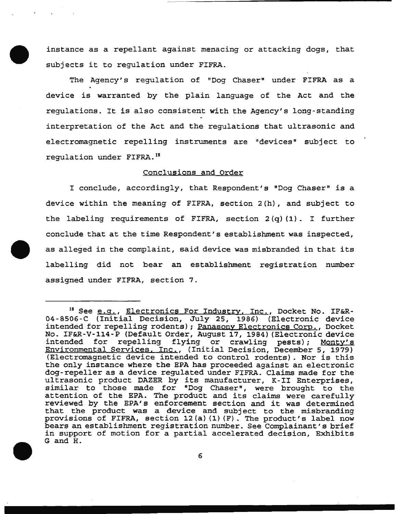instance as a repellant against menacing or attacking dogs, that subjects it to regulation under FIFRA.

The Agency's regulation of "Dog Chaser" under FIFRA as a device is warranted by the plain language of the Act and the regulations. It is also consistent with the Agency's long-standing interpretation of the Act and the regulations that ultrasonic and electromagnetic repelling instruments are "devices" subject to regulation under FIFRA. 18

#### Conclusions and Order

I conclude, accordingly, that Respondent's "Dog Chaser" is a device within the meaning of FIFRA, section 2(h), and subject to the labeling requirements of FIFRA, section  $2(q)$  (1). I further conclude that at the time Respondent's establishment was inspected, as alleged in the complaint, said device was misbranded in that its labelling did not bear an establishment registration number assigned under FIFRA, section 7.

<sup>&</sup>lt;sup>18</sup> See e.g., Electronics For Industry, Inc., Docket No. IF&R-04-8506-C (Initial Decision, July 25, 1986) (Electronic device intended for repelling rodents); Panasony Electronics Corp., Docket No. IF&R-V-114-P (Default Order, August 17, 1984) (Electronic device intended for repelling flying or crawling pests); Monty's Environmental Services, Inc., (Initial Decision, December 5, 1979) (Electromagnetic device intended to control rodents} . Nor is this the only instance where the EPA has proceeded against an electronic dog-repeller as a device regulated under FIFRA. Claims made for the ultrasonic product DAZER by its manufacturer, K-II Enterprises, similar to those made for "Dog Chaser", were brought to the attention of the EPA. The product and its claims were carefully reviewed by the EPA's enforcement section and it was determined that the product was a device and subject to the misbranding provisions of FIFRA, section l2(a) {l) (F). The product's label now bears an establishment registration number. See Complainant's brief in support of motion for a partial accelerated decision, Exhibits G and H.

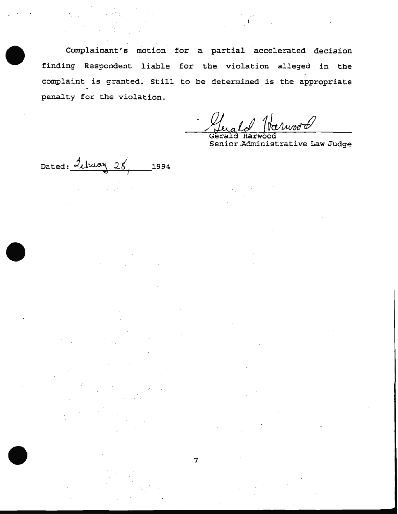Complainant's motion for a partial accelerated decision finding Respondent liable for the violation alleged in the complaint is granted. Still to be determined is the appropriate penalty for the violation.

August

Gerald Ha Senior .Administrative Law Judge

 $Dated:$   $\frac{J_{\ell}}{M}$   $28$ 1994